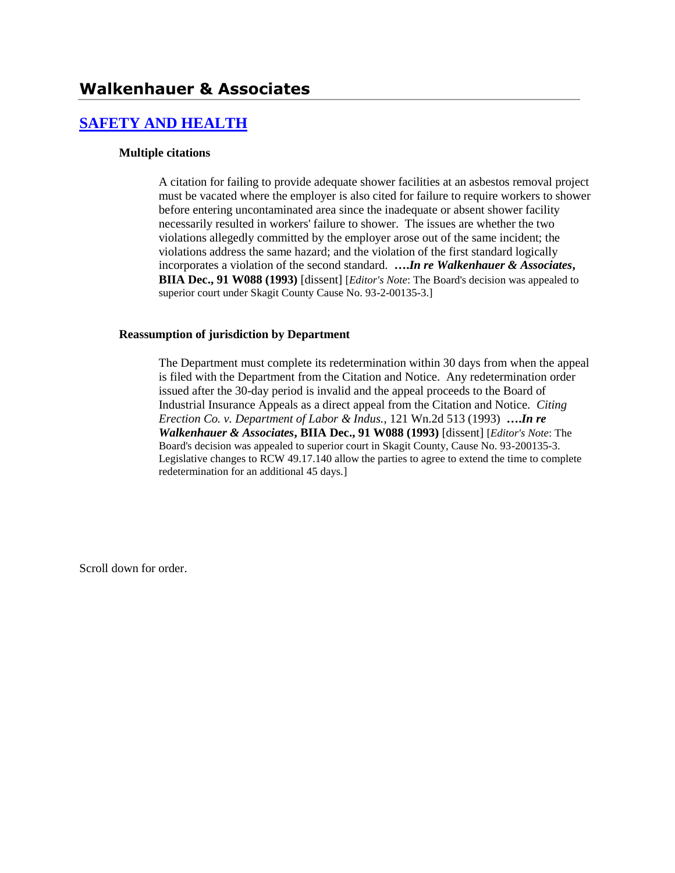# **[SAFETY AND HEALTH](http://www.biia.wa.gov/SDSubjectIndex.html#SAFETY_AND_HEALTH)**

#### **Multiple citations**

A citation for failing to provide adequate shower facilities at an asbestos removal project must be vacated where the employer is also cited for failure to require workers to shower before entering uncontaminated area since the inadequate or absent shower facility necessarily resulted in workers' failure to shower. The issues are whether the two violations allegedly committed by the employer arose out of the same incident; the violations address the same hazard; and the violation of the first standard logically incorporates a violation of the second standard. **….***In re Walkenhauer & Associates***, BIIA Dec., 91 W088 (1993)** [dissent] [*Editor's Note*: The Board's decision was appealed to superior court under Skagit County Cause No. 93-2-00135-3.]

#### **Reassumption of jurisdiction by Department**

The Department must complete its redetermination within 30 days from when the appeal is filed with the Department from the Citation and Notice. Any redetermination order issued after the 30-day period is invalid and the appeal proceeds to the Board of Industrial Insurance Appeals as a direct appeal from the Citation and Notice. *Citing Erection Co. v. Department of Labor & Indus.*, 121 Wn.2d 513 (1993) **….***In re Walkenhauer & Associates***, BIIA Dec., 91 W088 (1993)** [dissent] [*Editor's Note*: The Board's decision was appealed to superior court in Skagit County, Cause No. 93-200135-3. Legislative changes to RCW 49.17.140 allow the parties to agree to extend the time to complete redetermination for an additional 45 days.]

Scroll down for order.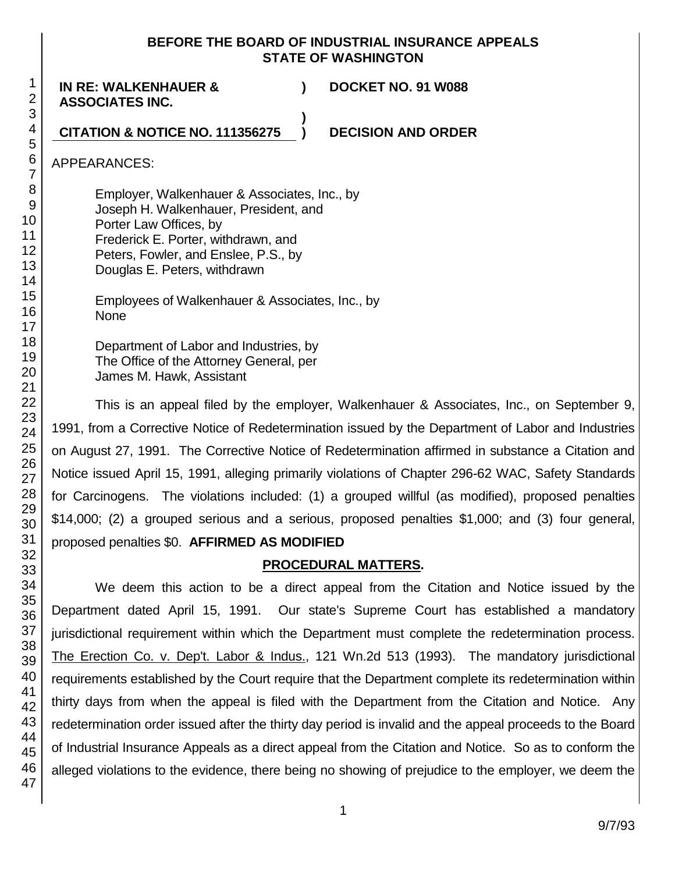### **BEFORE THE BOARD OF INDUSTRIAL INSURANCE APPEALS STATE OF WASHINGTON**

**)**

**IN RE: WALKENHAUER & ASSOCIATES INC.**

**) DOCKET NO. 91 W088**

### **CITATION & NOTICE NO. 111356275 ) DECISION AND ORDER**

APPEARANCES:

Employer, Walkenhauer & Associates, Inc., by Joseph H. Walkenhauer, President, and Porter Law Offices, by Frederick E. Porter, withdrawn, and Peters, Fowler, and Enslee, P.S., by Douglas E. Peters, withdrawn

Employees of Walkenhauer & Associates, Inc., by None

Department of Labor and Industries, by The Office of the Attorney General, per James M. Hawk, Assistant

This is an appeal filed by the employer, Walkenhauer & Associates, Inc., on September 9, 1991, from a Corrective Notice of Redetermination issued by the Department of Labor and Industries on August 27, 1991. The Corrective Notice of Redetermination affirmed in substance a Citation and Notice issued April 15, 1991, alleging primarily violations of Chapter 296-62 WAC, Safety Standards for Carcinogens. The violations included: (1) a grouped willful (as modified), proposed penalties \$14,000; (2) a grouped serious and a serious, proposed penalties \$1,000; and (3) four general, proposed penalties \$0. **AFFIRMED AS MODIFIED**

## **PROCEDURAL MATTERS.**

We deem this action to be a direct appeal from the Citation and Notice issued by the Department dated April 15, 1991. Our state's Supreme Court has established a mandatory jurisdictional requirement within which the Department must complete the redetermination process. The Erection Co. v. Dep't. Labor & Indus., 121 Wn.2d 513 (1993). The mandatory jurisdictional requirements established by the Court require that the Department complete its redetermination within thirty days from when the appeal is filed with the Department from the Citation and Notice. Any redetermination order issued after the thirty day period is invalid and the appeal proceeds to the Board of Industrial Insurance Appeals as a direct appeal from the Citation and Notice. So as to conform the alleged violations to the evidence, there being no showing of prejudice to the employer, we deem the

47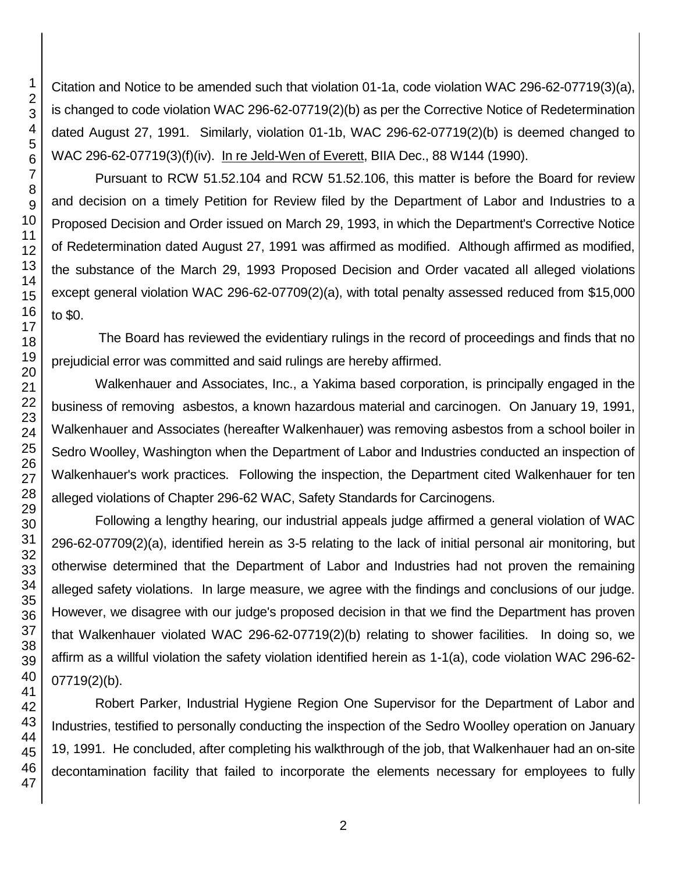Citation and Notice to be amended such that violation 01-1a, code violation WAC 296-62-07719(3)(a), is changed to code violation WAC 296-62-07719(2)(b) as per the Corrective Notice of Redetermination dated August 27, 1991. Similarly, violation 01-1b, WAC 296-62-07719(2)(b) is deemed changed to WAC 296-62-07719(3)(f)(iv). In re Jeld-Wen of Everett, BIIA Dec., 88 W144 (1990).

Pursuant to RCW 51.52.104 and RCW 51.52.106, this matter is before the Board for review and decision on a timely Petition for Review filed by the Department of Labor and Industries to a Proposed Decision and Order issued on March 29, 1993, in which the Department's Corrective Notice of Redetermination dated August 27, 1991 was affirmed as modified. Although affirmed as modified, the substance of the March 29, 1993 Proposed Decision and Order vacated all alleged violations except general violation WAC 296-62-07709(2)(a), with total penalty assessed reduced from \$15,000 to \$0.

The Board has reviewed the evidentiary rulings in the record of proceedings and finds that no prejudicial error was committed and said rulings are hereby affirmed.

Walkenhauer and Associates, Inc., a Yakima based corporation, is principally engaged in the business of removing asbestos, a known hazardous material and carcinogen. On January 19, 1991, Walkenhauer and Associates (hereafter Walkenhauer) was removing asbestos from a school boiler in Sedro Woolley, Washington when the Department of Labor and Industries conducted an inspection of Walkenhauer's work practices. Following the inspection, the Department cited Walkenhauer for ten alleged violations of Chapter 296-62 WAC, Safety Standards for Carcinogens.

Following a lengthy hearing, our industrial appeals judge affirmed a general violation of WAC 296-62-07709(2)(a), identified herein as 3-5 relating to the lack of initial personal air monitoring, but otherwise determined that the Department of Labor and Industries had not proven the remaining alleged safety violations. In large measure, we agree with the findings and conclusions of our judge. However, we disagree with our judge's proposed decision in that we find the Department has proven that Walkenhauer violated WAC 296-62-07719(2)(b) relating to shower facilities. In doing so, we affirm as a willful violation the safety violation identified herein as 1-1(a), code violation WAC 296-62- 07719(2)(b).

Robert Parker, Industrial Hygiene Region One Supervisor for the Department of Labor and Industries, testified to personally conducting the inspection of the Sedro Woolley operation on January 19, 1991. He concluded, after completing his walkthrough of the job, that Walkenhauer had an on-site decontamination facility that failed to incorporate the elements necessary for employees to fully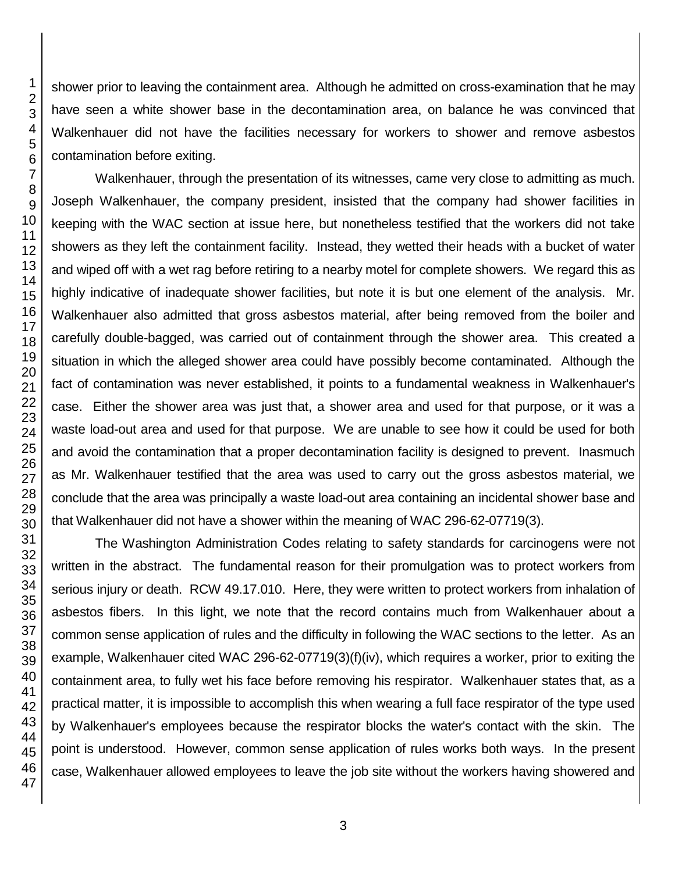shower prior to leaving the containment area. Although he admitted on cross-examination that he may have seen a white shower base in the decontamination area, on balance he was convinced that Walkenhauer did not have the facilities necessary for workers to shower and remove asbestos contamination before exiting.

Walkenhauer, through the presentation of its witnesses, came very close to admitting as much. Joseph Walkenhauer, the company president, insisted that the company had shower facilities in keeping with the WAC section at issue here, but nonetheless testified that the workers did not take showers as they left the containment facility. Instead, they wetted their heads with a bucket of water and wiped off with a wet rag before retiring to a nearby motel for complete showers. We regard this as highly indicative of inadequate shower facilities, but note it is but one element of the analysis. Mr. Walkenhauer also admitted that gross asbestos material, after being removed from the boiler and carefully double-bagged, was carried out of containment through the shower area. This created a situation in which the alleged shower area could have possibly become contaminated. Although the fact of contamination was never established, it points to a fundamental weakness in Walkenhauer's case. Either the shower area was just that, a shower area and used for that purpose, or it was a waste load-out area and used for that purpose. We are unable to see how it could be used for both and avoid the contamination that a proper decontamination facility is designed to prevent. Inasmuch as Mr. Walkenhauer testified that the area was used to carry out the gross asbestos material, we conclude that the area was principally a waste load-out area containing an incidental shower base and that Walkenhauer did not have a shower within the meaning of WAC 296-62-07719(3).

The Washington Administration Codes relating to safety standards for carcinogens were not written in the abstract. The fundamental reason for their promulgation was to protect workers from serious injury or death. RCW 49.17.010. Here, they were written to protect workers from inhalation of asbestos fibers. In this light, we note that the record contains much from Walkenhauer about a common sense application of rules and the difficulty in following the WAC sections to the letter. As an example, Walkenhauer cited WAC 296-62-07719(3)(f)(iv), which requires a worker, prior to exiting the containment area, to fully wet his face before removing his respirator. Walkenhauer states that, as a practical matter, it is impossible to accomplish this when wearing a full face respirator of the type used by Walkenhauer's employees because the respirator blocks the water's contact with the skin. The point is understood. However, common sense application of rules works both ways. In the present case, Walkenhauer allowed employees to leave the job site without the workers having showered and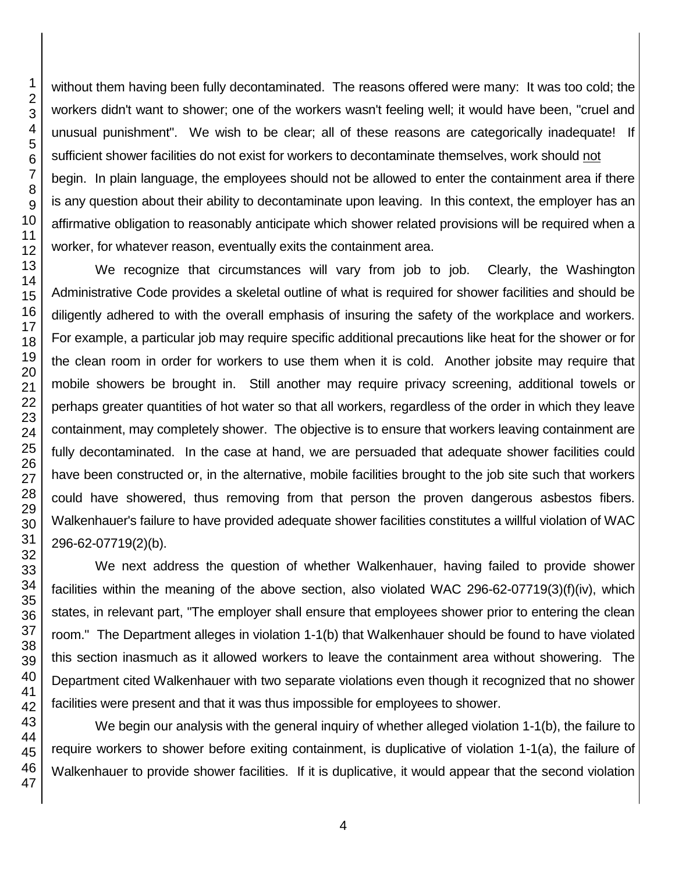without them having been fully decontaminated. The reasons offered were many: It was too cold; the workers didn't want to shower; one of the workers wasn't feeling well; it would have been, "cruel and unusual punishment". We wish to be clear; all of these reasons are categorically inadequate! If sufficient shower facilities do not exist for workers to decontaminate themselves, work should not begin. In plain language, the employees should not be allowed to enter the containment area if there is any question about their ability to decontaminate upon leaving. In this context, the employer has an affirmative obligation to reasonably anticipate which shower related provisions will be required when a worker, for whatever reason, eventually exits the containment area. We recognize that circumstances will vary from job to job. Clearly, the Washington Administrative Code provides a skeletal outline of what is required for shower facilities and should be

diligently adhered to with the overall emphasis of insuring the safety of the workplace and workers. For example, a particular job may require specific additional precautions like heat for the shower or for the clean room in order for workers to use them when it is cold. Another jobsite may require that mobile showers be brought in. Still another may require privacy screening, additional towels or perhaps greater quantities of hot water so that all workers, regardless of the order in which they leave containment, may completely shower. The objective is to ensure that workers leaving containment are fully decontaminated. In the case at hand, we are persuaded that adequate shower facilities could have been constructed or, in the alternative, mobile facilities brought to the job site such that workers could have showered, thus removing from that person the proven dangerous asbestos fibers. Walkenhauer's failure to have provided adequate shower facilities constitutes a willful violation of WAC 296-62-07719(2)(b).

We next address the question of whether Walkenhauer, having failed to provide shower facilities within the meaning of the above section, also violated WAC 296-62-07719(3)(f)(iv), which states, in relevant part, "The employer shall ensure that employees shower prior to entering the clean room." The Department alleges in violation 1-1(b) that Walkenhauer should be found to have violated this section inasmuch as it allowed workers to leave the containment area without showering. The Department cited Walkenhauer with two separate violations even though it recognized that no shower facilities were present and that it was thus impossible for employees to shower.

We begin our analysis with the general inquiry of whether alleged violation 1-1(b), the failure to require workers to shower before exiting containment, is duplicative of violation 1-1(a), the failure of Walkenhauer to provide shower facilities. If it is duplicative, it would appear that the second violation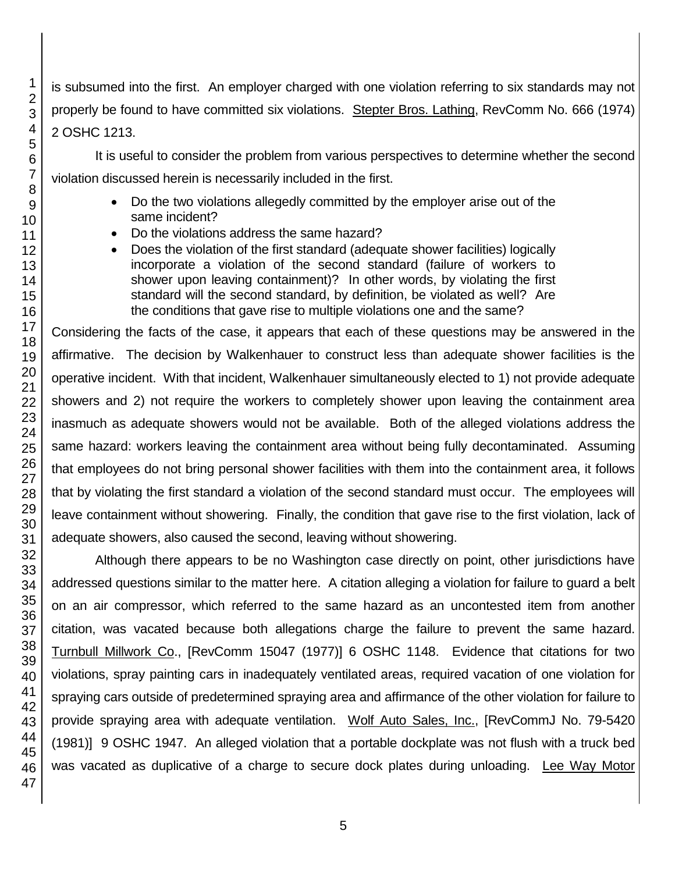is subsumed into the first. An employer charged with one violation referring to six standards may not properly be found to have committed six violations. Stepter Bros. Lathing, RevComm No. 666 (1974) 2 OSHC 1213.

It is useful to consider the problem from various perspectives to determine whether the second violation discussed herein is necessarily included in the first.

- Do the two violations allegedly committed by the employer arise out of the same incident?
- Do the violations address the same hazard?
- Does the violation of the first standard (adequate shower facilities) logically incorporate a violation of the second standard (failure of workers to shower upon leaving containment)? In other words, by violating the first standard will the second standard, by definition, be violated as well? Are the conditions that gave rise to multiple violations one and the same?

Considering the facts of the case, it appears that each of these questions may be answered in the affirmative. The decision by Walkenhauer to construct less than adequate shower facilities is the operative incident. With that incident, Walkenhauer simultaneously elected to 1) not provide adequate showers and 2) not require the workers to completely shower upon leaving the containment area inasmuch as adequate showers would not be available. Both of the alleged violations address the same hazard: workers leaving the containment area without being fully decontaminated. Assuming that employees do not bring personal shower facilities with them into the containment area, it follows that by violating the first standard a violation of the second standard must occur. The employees will leave containment without showering. Finally, the condition that gave rise to the first violation, lack of adequate showers, also caused the second, leaving without showering.

Although there appears to be no Washington case directly on point, other jurisdictions have addressed questions similar to the matter here. A citation alleging a violation for failure to guard a belt on an air compressor, which referred to the same hazard as an uncontested item from another citation, was vacated because both allegations charge the failure to prevent the same hazard. Turnbull Millwork Co., [RevComm 15047 (1977)] 6 OSHC 1148. Evidence that citations for two violations, spray painting cars in inadequately ventilated areas, required vacation of one violation for spraying cars outside of predetermined spraying area and affirmance of the other violation for failure to provide spraying area with adequate ventilation. Wolf Auto Sales, Inc., [RevCommJ No. 79-5420 (1981)] 9 OSHC 1947. An alleged violation that a portable dockplate was not flush with a truck bed was vacated as duplicative of a charge to secure dock plates during unloading. Lee Way Motor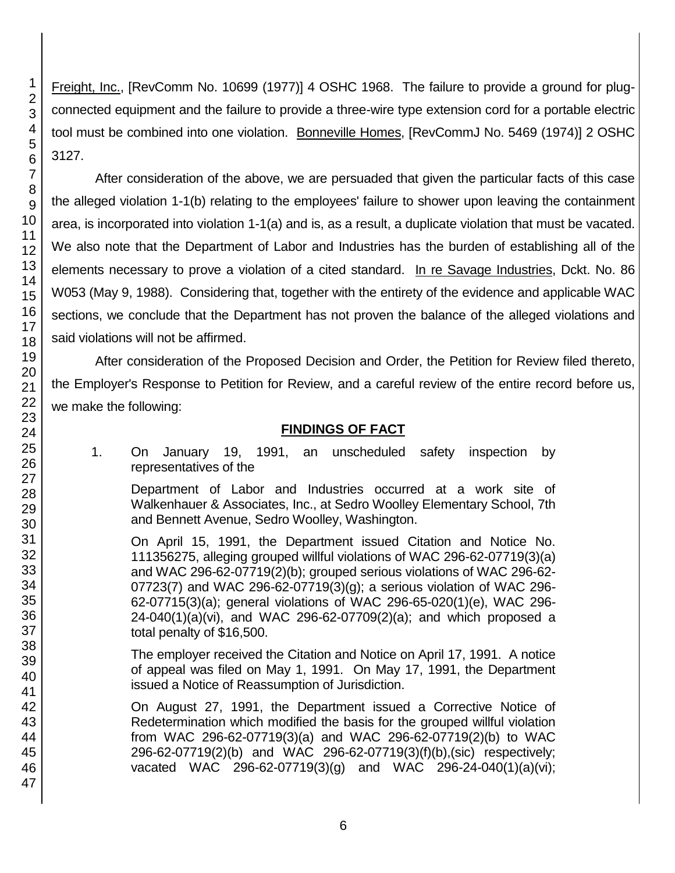Freight, Inc., [RevComm No. 10699 (1977)] 4 OSHC 1968. The failure to provide a ground for plugconnected equipment and the failure to provide a three-wire type extension cord for a portable electric tool must be combined into one violation. Bonneville Homes, [RevCommJ No. 5469 (1974)] 2 OSHC 3127.

After consideration of the above, we are persuaded that given the particular facts of this case the alleged violation 1-1(b) relating to the employees' failure to shower upon leaving the containment area, is incorporated into violation 1-1(a) and is, as a result, a duplicate violation that must be vacated. We also note that the Department of Labor and Industries has the burden of establishing all of the elements necessary to prove a violation of a cited standard. In re Savage Industries, Dckt. No. 86 W053 (May 9, 1988). Considering that, together with the entirety of the evidence and applicable WAC sections, we conclude that the Department has not proven the balance of the alleged violations and said violations will not be affirmed.

After consideration of the Proposed Decision and Order, the Petition for Review filed thereto, the Employer's Response to Petition for Review, and a careful review of the entire record before us, we make the following:

## **FINDINGS OF FACT**

1. On January 19, 1991, an unscheduled safety inspection by representatives of the

Department of Labor and Industries occurred at a work site of Walkenhauer & Associates, Inc., at Sedro Woolley Elementary School, 7th and Bennett Avenue, Sedro Woolley, Washington.

On April 15, 1991, the Department issued Citation and Notice No. 111356275, alleging grouped willful violations of WAC 296-62-07719(3)(a) and WAC 296-62-07719(2)(b); grouped serious violations of WAC 296-62- 07723(7) and WAC 296-62-07719(3)(g); a serious violation of WAC 296- 62-07715(3)(a); general violations of WAC 296-65-020(1)(e), WAC 296- 24-040(1)(a)(vi), and WAC 296-62-07709(2)(a); and which proposed a total penalty of \$16,500.

The employer received the Citation and Notice on April 17, 1991. A notice of appeal was filed on May 1, 1991. On May 17, 1991, the Department issued a Notice of Reassumption of Jurisdiction.

On August 27, 1991, the Department issued a Corrective Notice of Redetermination which modified the basis for the grouped willful violation from WAC 296-62-07719(3)(a) and WAC 296-62-07719(2)(b) to WAC 296-62-07719(2)(b) and WAC 296-62-07719(3)(f)(b),(sic) respectively; vacated WAC 296-62-07719(3)(g) and WAC 296-24-040(1)(a)(vi);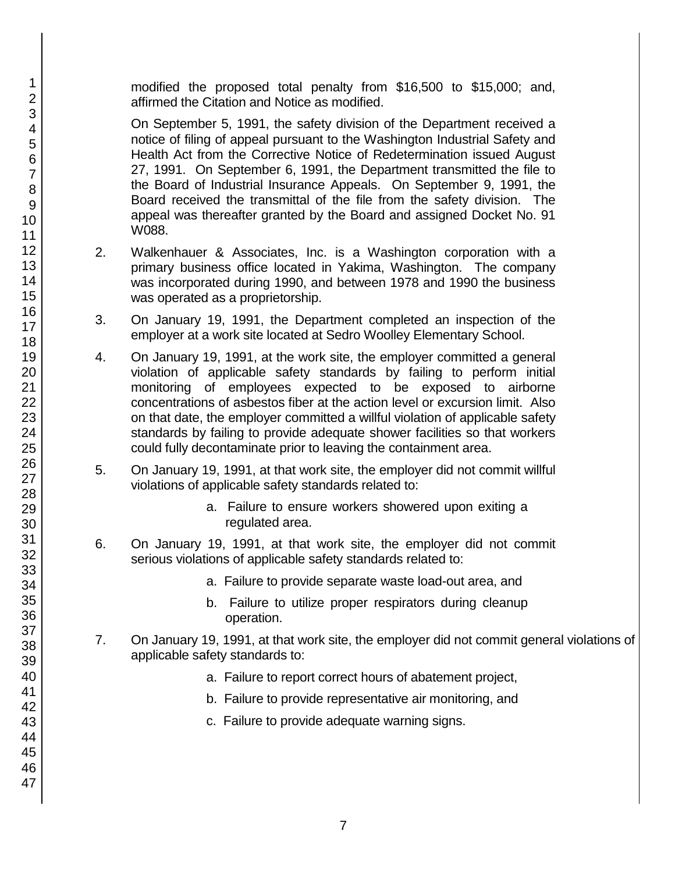modified the proposed total penalty from \$16,500 to \$15,000; and, affirmed the Citation and Notice as modified.

On September 5, 1991, the safety division of the Department received a notice of filing of appeal pursuant to the Washington Industrial Safety and Health Act from the Corrective Notice of Redetermination issued August 27, 1991. On September 6, 1991, the Department transmitted the file to the Board of Industrial Insurance Appeals. On September 9, 1991, the Board received the transmittal of the file from the safety division. The appeal was thereafter granted by the Board and assigned Docket No. 91 W088.

- 2. Walkenhauer & Associates, Inc. is a Washington corporation with a primary business office located in Yakima, Washington. The company was incorporated during 1990, and between 1978 and 1990 the business was operated as a proprietorship.
- 3. On January 19, 1991, the Department completed an inspection of the employer at a work site located at Sedro Woolley Elementary School.
- 4. On January 19, 1991, at the work site, the employer committed a general violation of applicable safety standards by failing to perform initial monitoring of employees expected to be exposed to airborne concentrations of asbestos fiber at the action level or excursion limit. Also on that date, the employer committed a willful violation of applicable safety standards by failing to provide adequate shower facilities so that workers could fully decontaminate prior to leaving the containment area.
- 5. On January 19, 1991, at that work site, the employer did not commit willful violations of applicable safety standards related to:
	- a. Failure to ensure workers showered upon exiting a regulated area.
- 6. On January 19, 1991, at that work site, the employer did not commit serious violations of applicable safety standards related to:
	- a. Failure to provide separate waste load-out area, and
	- b. Failure to utilize proper respirators during cleanup operation.
- 7. On January 19, 1991, at that work site, the employer did not commit general violations of applicable safety standards to:
	- a. Failure to report correct hours of abatement project,
	- b. Failure to provide representative air monitoring, and
	- c. Failure to provide adequate warning signs.

1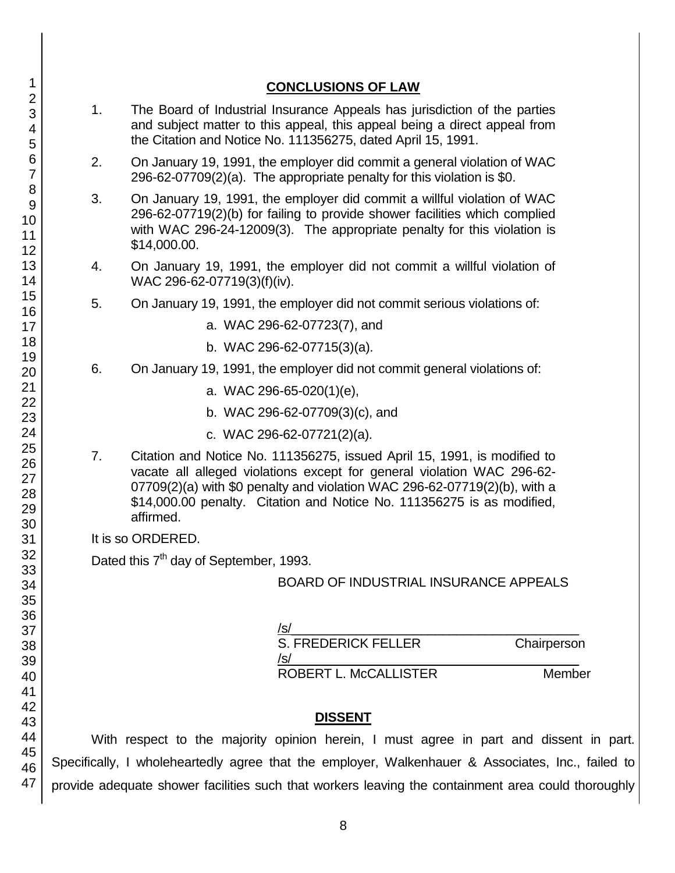|                                                    | <b>CONCLUSIONS OF LAW</b>                                                                                                                                                                                                                                                                                              |
|----------------------------------------------------|------------------------------------------------------------------------------------------------------------------------------------------------------------------------------------------------------------------------------------------------------------------------------------------------------------------------|
| 1 <sub>1</sub>                                     | The Board of Industrial Insurance Appeals has jurisdiction of the parties<br>and subject matter to this appeal, this appeal being a direct appeal from<br>the Citation and Notice No. 111356275, dated April 15, 1991.                                                                                                 |
| 2.                                                 | On January 19, 1991, the employer did commit a general violation of WAC<br>296-62-07709(2)(a). The appropriate penalty for this violation is \$0.                                                                                                                                                                      |
| 3.                                                 | On January 19, 1991, the employer did commit a willful violation of WAC<br>296-62-07719(2)(b) for failing to provide shower facilities which complied<br>with WAC 296-24-12009(3). The appropriate penalty for this violation is<br>\$14,000.00.                                                                       |
| 4.                                                 | On January 19, 1991, the employer did not commit a willful violation of<br>WAC 296-62-07719(3)(f)(iv).                                                                                                                                                                                                                 |
| 5.                                                 | On January 19, 1991, the employer did not commit serious violations of:                                                                                                                                                                                                                                                |
|                                                    | a. WAC 296-62-07723(7), and                                                                                                                                                                                                                                                                                            |
|                                                    | b. WAC 296-62-07715(3)(a).                                                                                                                                                                                                                                                                                             |
| 6.                                                 | On January 19, 1991, the employer did not commit general violations of:                                                                                                                                                                                                                                                |
|                                                    | a. WAC 296-65-020(1)(e),                                                                                                                                                                                                                                                                                               |
|                                                    | b. WAC 296-62-07709(3)(c), and                                                                                                                                                                                                                                                                                         |
|                                                    | c. WAC 296-62-07721(2)(a).                                                                                                                                                                                                                                                                                             |
| 7.                                                 | Citation and Notice No. 111356275, issued April 15, 1991, is modified to<br>vacate all alleged violations except for general violation WAC 296-62-<br>07709(2)(a) with \$0 penalty and violation WAC 296-62-07719(2)(b), with a<br>\$14,000.00 penalty. Citation and Notice No. 111356275 is as modified,<br>affirmed. |
|                                                    | It is so ORDERED.                                                                                                                                                                                                                                                                                                      |
| Dated this 7 <sup>th</sup> day of September, 1993. |                                                                                                                                                                                                                                                                                                                        |
|                                                    | <b>BOARD OF INDUSTRIAL INSURANCE APPEALS</b>                                                                                                                                                                                                                                                                           |
|                                                    |                                                                                                                                                                                                                                                                                                                        |
|                                                    | <u>/s/</u><br>S. FREDERICK FELLER<br>Chairperson                                                                                                                                                                                                                                                                       |
|                                                    | Member                                                                                                                                                                                                                                                                                                                 |
|                                                    | <b>DISSENT</b>                                                                                                                                                                                                                                                                                                         |
|                                                    | With recoged to the mojerity enjoine becain. I must garee in part and discont                                                                                                                                                                                                                                          |

With respect to the majority opinion herein, I must agree in part and dissent in part. Specifically, I wholeheartedly agree that the employer, Walkenhauer & Associates, Inc., failed to provide adequate shower facilities such that workers leaving the containment area could thoroughly

8